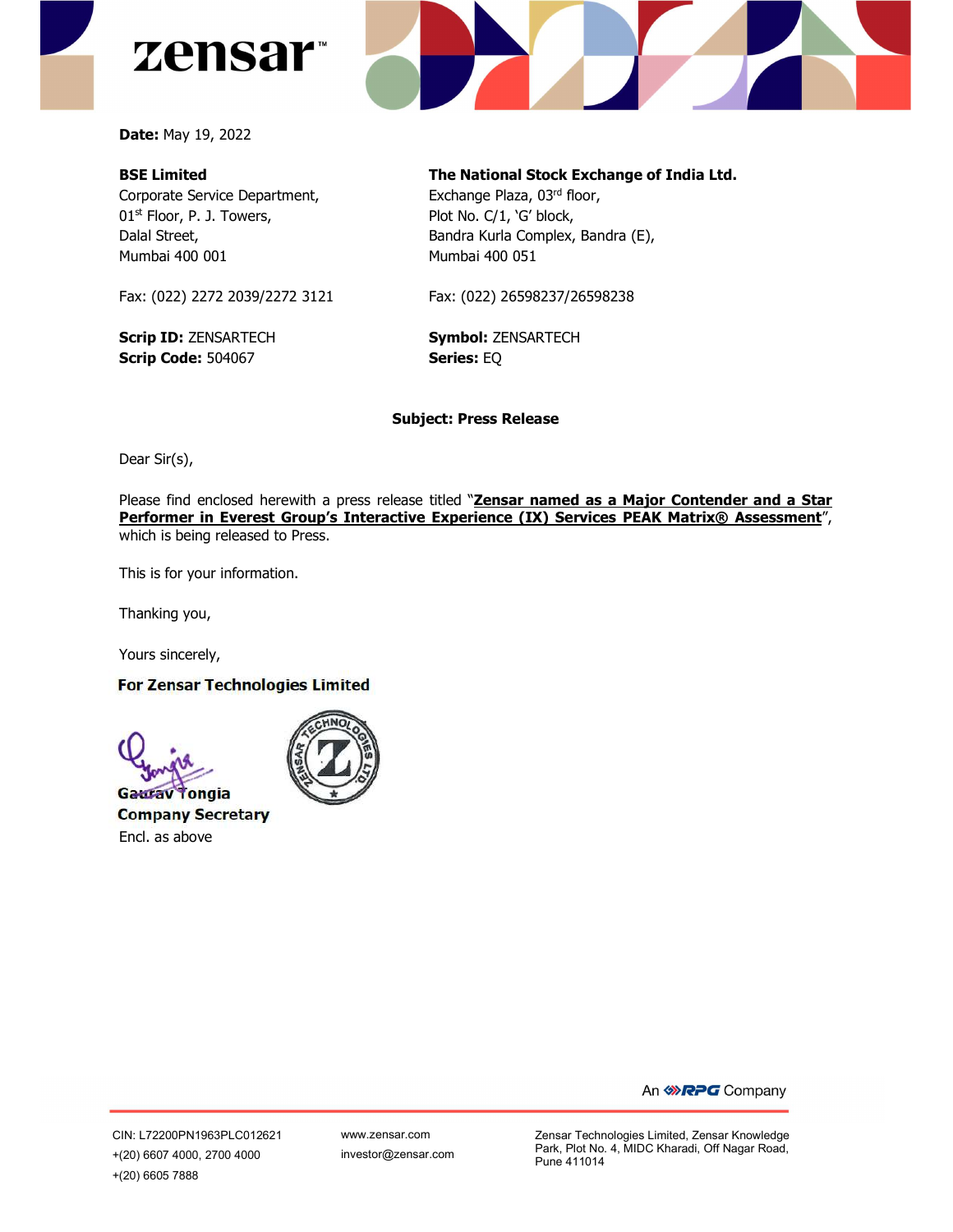



Date: May 19, 2022

## BSE Limited

Corporate Service Department, 01<sup>st</sup> Floor, P. J. Towers, Dalal Street, Mumbai 400 001

Fax: (022) 2272 2039/2272 3121

Scrip ID: ZENSARTECH Scrip Code: 504067

The National Stock Exchange of India Ltd. Exchange Plaza, 03rd floor, Plot No. C/1, 'G' block, Bandra Kurla Complex, Bandra (E), Mumbai 400 051

Fax: (022) 26598237/26598238

Symbol: ZENSARTECH Series: EQ

## Subject: Press Release

Dear Sir(s),

Please find enclosed herewith a press release titled "Zensar named as a Major Contender and a Star Performer in Everest Group's Interactive Experience (IX) Services PEAK Matrix<sup>®</sup> Assessment", which is being released to Press.

This is for your information.

Thanking you,

Yours sincerely,

## **For Zensar Technologies Limited**

**Gaurav Tongia Company Secretary** Encl. as above



An **WRPG** Company

CIN: L72200PN1963PLC012621 +(20) 6607 4000, 2700 4000 +(20) 6605 7888

Zensar Technologies Limited, Zensar Knowledge Park, Plot No. 4, MIDC Kharadi, Off Nagar Road, Pune 411014 www.zensar.com investor@zensar.com